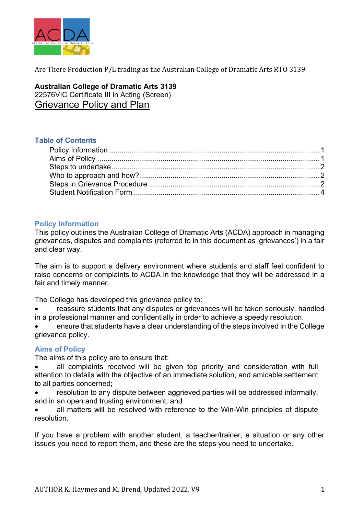

**Australian College of Dramatic Arts 3139** 22576VIC Certificate III in Acting (Screen) Grievance Policy and Plan

#### **Table of Contents**

## **Policy Information**

This policy outlines the Australian College of Dramatic Arts (ACDA) approach in managing grievances, disputes and complaints (referred to in this document as 'grievances') in a fair and clear way.

The aim is to support a delivery environment where students and staff feel confident to raise concerns or complaints to ACDA in the knowledge that they will be addressed in a fair and timely manner.

The College has developed this grievance policy to:

reassure students that any disputes or grievances will be taken seriously, handled in a professional manner and confidentially in order to achieve a speedy resolution.

• ensure that students have a clear understanding of the steps involved in the College grievance policy.

#### **Aims of Policy**

The aims of this policy are to ensure that:

all complaints received will be given top priority and consideration with full attention to details with the objective of an immediate solution, and amicable settlement to all parties concerned;

• resolution to any dispute between aggrieved parties will be addressed informally, and in an open and trusting environment; and

• all matters will be resolved with reference to the Win-Win principles of dispute resolution.

If you have a problem with another student, a teacher/trainer, a situation or any other issues you need to report them, and these are the steps you need to undertake.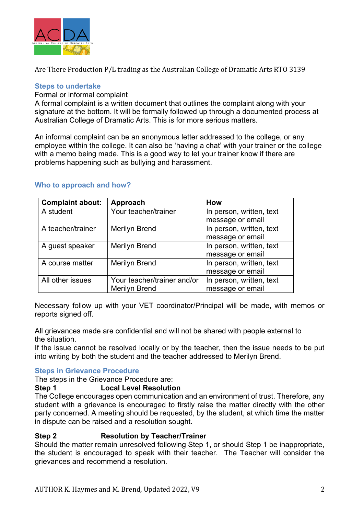

#### **Steps to undertake**

Formal or informal complaint

A formal complaint is a written document that outlines the complaint along with your signature at the bottom. It will be formally followed up through a documented process at Australian College of Dramatic Arts. This is for more serious matters.

An informal complaint can be an anonymous letter addressed to the college, or any employee within the college. It can also be 'having a chat' with your trainer or the college with a memo being made. This is a good way to let your trainer know if there are problems happening such as bullying and harassment.

## **Who to approach and how?**

| <b>Complaint about:</b> | Approach                    | How                      |
|-------------------------|-----------------------------|--------------------------|
| A student               | Your teacher/trainer        | In person, written, text |
|                         |                             | message or email         |
| A teacher/trainer       | Merilyn Brend               | In person, written, text |
|                         |                             | message or email         |
| A guest speaker         | Merilyn Brend               | In person, written, text |
|                         |                             | message or email         |
| A course matter         | Merilyn Brend               | In person, written, text |
|                         |                             | message or email         |
| All other issues        | Your teacher/trainer and/or | In person, written, text |
|                         | <b>Merilyn Brend</b>        | message or email         |

Necessary follow up with your VET coordinator/Principal will be made, with memos or reports signed off.

All grievances made are confidential and will not be shared with people external to the situation.

If the issue cannot be resolved locally or by the teacher, then the issue needs to be put into writing by both the student and the teacher addressed to Merilyn Brend.

## **Steps in Grievance Procedure**

The steps in the Grievance Procedure are:

**Step 1 Local Level Resolution**

The College encourages open communication and an environment of trust. Therefore, any student with a grievance is encouraged to firstly raise the matter directly with the other party concerned. A meeting should be requested, by the student, at which time the matter in dispute can be raised and a resolution sought.

## **Step 2 Resolution by Teacher/Trainer**

Should the matter remain unresolved following Step 1, or should Step 1 be inappropriate, the student is encouraged to speak with their teacher. The Teacher will consider the grievances and recommend a resolution.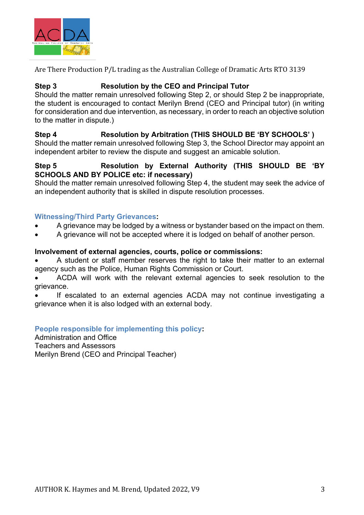

## **Step 3 Resolution by the CEO and Principal Tutor**

Should the matter remain unresolved following Step 2, or should Step 2 be inappropriate, the student is encouraged to contact Merilyn Brend (CEO and Principal tutor) (in writing for consideration and due intervention, as necessary, in order to reach an objective solution to the matter in dispute.)

# **Step 4 Resolution by Arbitration (THIS SHOULD BE 'BY SCHOOLS' )**

Should the matter remain unresolved following Step 3, the School Director may appoint an independent arbiter to review the dispute and suggest an amicable solution.

## **Step 5 Resolution by External Authority (THIS SHOULD BE 'BY SCHOOLS AND BY POLICE etc: if necessary)**

Should the matter remain unresolved following Step 4, the student may seek the advice of an independent authority that is skilled in dispute resolution processes.

## **Witnessing/Third Party Grievances:**

- A grievance may be lodged by a witness or bystander based on the impact on them.
- A grievance will not be accepted where it is lodged on behalf of another person.

## **Involvement of external agencies, courts, police or commissions:**

• A student or staff member reserves the right to take their matter to an external agency such as the Police, Human Rights Commission or Court.

• ACDA will work with the relevant external agencies to seek resolution to the grievance.

If escalated to an external agencies ACDA may not continue investigating a grievance when it is also lodged with an external body.

## **People responsible for implementing this policy:**

Administration and Office Teachers and Assessors Merilyn Brend (CEO and Principal Teacher)